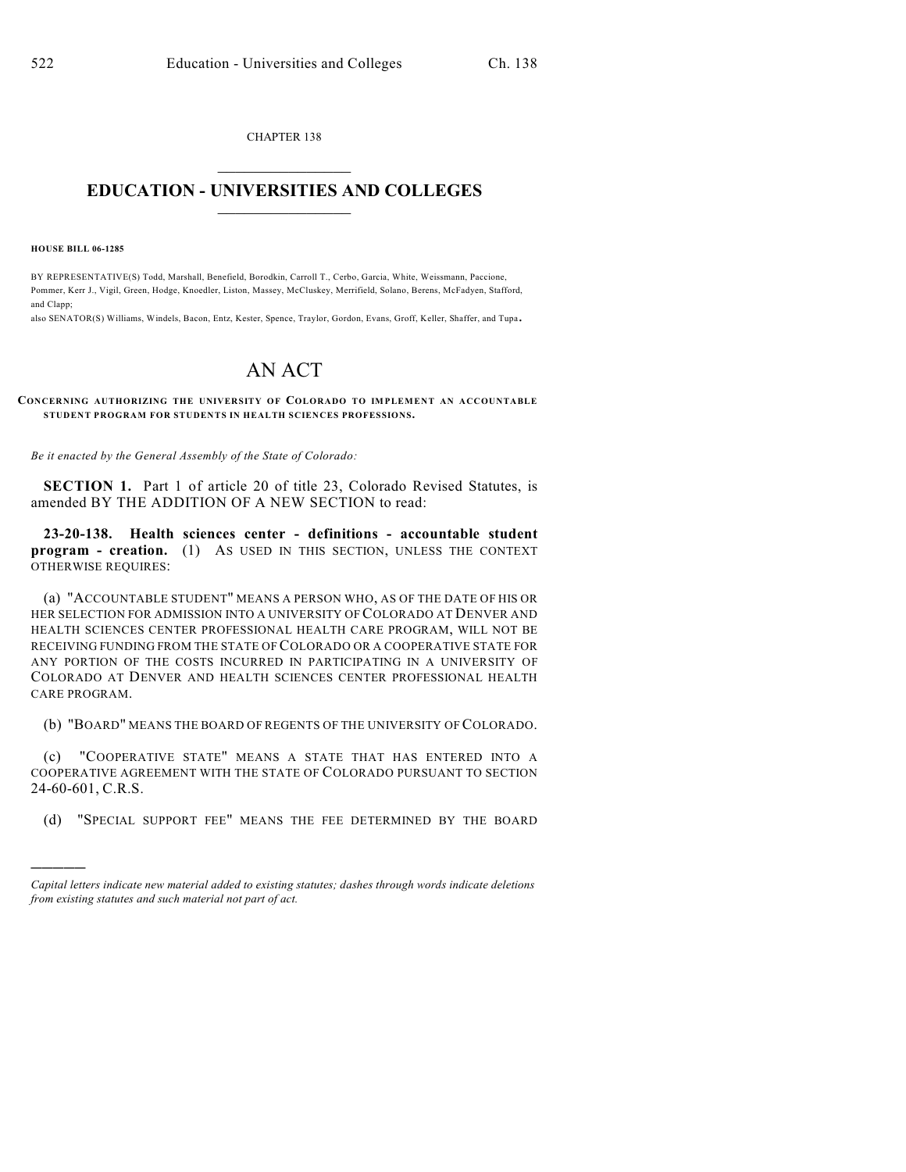CHAPTER 138  $\mathcal{L}_\text{max}$  . The set of the set of the set of the set of the set of the set of the set of the set of the set of the set of the set of the set of the set of the set of the set of the set of the set of the set of the set

## **EDUCATION - UNIVERSITIES AND COLLEGES**  $\_$

**HOUSE BILL 06-1285**

)))))

BY REPRESENTATIVE(S) Todd, Marshall, Benefield, Borodkin, Carroll T., Cerbo, Garcia, White, Weissmann, Paccione, Pommer, Kerr J., Vigil, Green, Hodge, Knoedler, Liston, Massey, McCluskey, Merrifield, Solano, Berens, McFadyen, Stafford, and Clapp;

also SENATOR(S) Williams, Windels, Bacon, Entz, Kester, Spence, Traylor, Gordon, Evans, Groff, Keller, Shaffer, and Tupa.

## AN ACT

## **CONCERNING AUTHORIZING THE UNIVERSITY OF COLORADO TO IMPLEMENT AN ACCOUNTABLE STUDENT PROGRAM FOR STUDENTS IN HEALTH SCIENCES PROFESSIONS.**

*Be it enacted by the General Assembly of the State of Colorado:*

**SECTION 1.** Part 1 of article 20 of title 23, Colorado Revised Statutes, is amended BY THE ADDITION OF A NEW SECTION to read:

**23-20-138. Health sciences center - definitions - accountable student program - creation.** (1) As USED IN THIS SECTION, UNLESS THE CONTEXT OTHERWISE REQUIRES:

(a) "ACCOUNTABLE STUDENT" MEANS A PERSON WHO, AS OF THE DATE OF HIS OR HER SELECTION FOR ADMISSION INTO A UNIVERSITY OF COLORADO AT DENVER AND HEALTH SCIENCES CENTER PROFESSIONAL HEALTH CARE PROGRAM, WILL NOT BE RECEIVING FUNDING FROM THE STATE OF COLORADO OR A COOPERATIVE STATE FOR ANY PORTION OF THE COSTS INCURRED IN PARTICIPATING IN A UNIVERSITY OF COLORADO AT DENVER AND HEALTH SCIENCES CENTER PROFESSIONAL HEALTH CARE PROGRAM.

(b) "BOARD" MEANS THE BOARD OF REGENTS OF THE UNIVERSITY OF COLORADO.

(c) "COOPERATIVE STATE" MEANS A STATE THAT HAS ENTERED INTO A COOPERATIVE AGREEMENT WITH THE STATE OF COLORADO PURSUANT TO SECTION 24-60-601, C.R.S.

(d) "SPECIAL SUPPORT FEE" MEANS THE FEE DETERMINED BY THE BOARD

*Capital letters indicate new material added to existing statutes; dashes through words indicate deletions from existing statutes and such material not part of act.*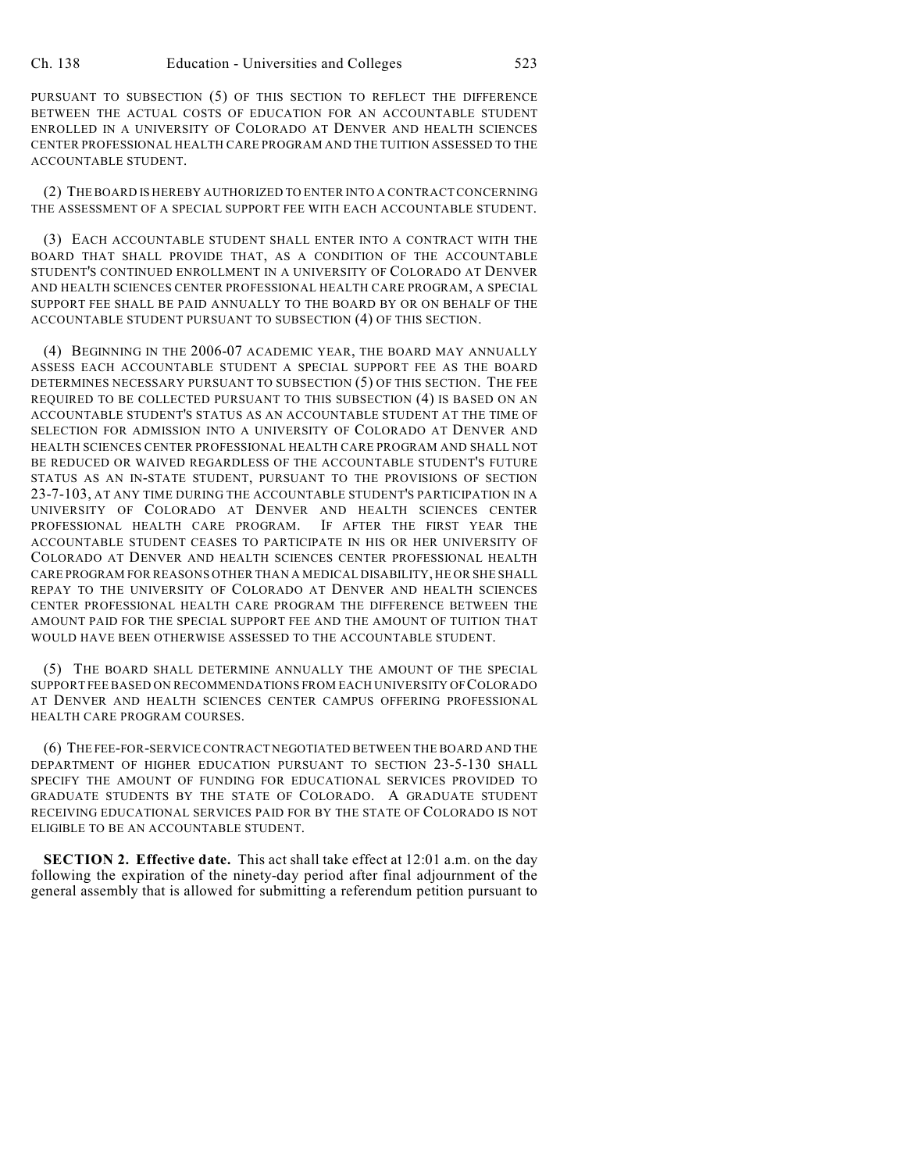PURSUANT TO SUBSECTION (5) OF THIS SECTION TO REFLECT THE DIFFERENCE BETWEEN THE ACTUAL COSTS OF EDUCATION FOR AN ACCOUNTABLE STUDENT ENROLLED IN A UNIVERSITY OF COLORADO AT DENVER AND HEALTH SCIENCES CENTER PROFESSIONAL HEALTH CARE PROGRAM AND THE TUITION ASSESSED TO THE ACCOUNTABLE STUDENT.

(2) THE BOARD IS HEREBY AUTHORIZED TO ENTER INTO A CONTRACT CONCERNING THE ASSESSMENT OF A SPECIAL SUPPORT FEE WITH EACH ACCOUNTABLE STUDENT.

(3) EACH ACCOUNTABLE STUDENT SHALL ENTER INTO A CONTRACT WITH THE BOARD THAT SHALL PROVIDE THAT, AS A CONDITION OF THE ACCOUNTABLE STUDENT'S CONTINUED ENROLLMENT IN A UNIVERSITY OF COLORADO AT DENVER AND HEALTH SCIENCES CENTER PROFESSIONAL HEALTH CARE PROGRAM, A SPECIAL SUPPORT FEE SHALL BE PAID ANNUALLY TO THE BOARD BY OR ON BEHALF OF THE ACCOUNTABLE STUDENT PURSUANT TO SUBSECTION (4) OF THIS SECTION.

(4) BEGINNING IN THE 2006-07 ACADEMIC YEAR, THE BOARD MAY ANNUALLY ASSESS EACH ACCOUNTABLE STUDENT A SPECIAL SUPPORT FEE AS THE BOARD DETERMINES NECESSARY PURSUANT TO SUBSECTION (5) OF THIS SECTION. THE FEE REQUIRED TO BE COLLECTED PURSUANT TO THIS SUBSECTION (4) IS BASED ON AN ACCOUNTABLE STUDENT'S STATUS AS AN ACCOUNTABLE STUDENT AT THE TIME OF SELECTION FOR ADMISSION INTO A UNIVERSITY OF COLORADO AT DENVER AND HEALTH SCIENCES CENTER PROFESSIONAL HEALTH CARE PROGRAM AND SHALL NOT BE REDUCED OR WAIVED REGARDLESS OF THE ACCOUNTABLE STUDENT'S FUTURE STATUS AS AN IN-STATE STUDENT, PURSUANT TO THE PROVISIONS OF SECTION 23-7-103, AT ANY TIME DURING THE ACCOUNTABLE STUDENT'S PARTICIPATION IN A UNIVERSITY OF COLORADO AT DENVER AND HEALTH SCIENCES CENTER PROFESSIONAL HEALTH CARE PROGRAM. IF AFTER THE FIRST YEAR THE ACCOUNTABLE STUDENT CEASES TO PARTICIPATE IN HIS OR HER UNIVERSITY OF COLORADO AT DENVER AND HEALTH SCIENCES CENTER PROFESSIONAL HEALTH CARE PROGRAM FOR REASONS OTHER THAN A MEDICAL DISABILITY, HE OR SHE SHALL REPAY TO THE UNIVERSITY OF COLORADO AT DENVER AND HEALTH SCIENCES CENTER PROFESSIONAL HEALTH CARE PROGRAM THE DIFFERENCE BETWEEN THE AMOUNT PAID FOR THE SPECIAL SUPPORT FEE AND THE AMOUNT OF TUITION THAT WOULD HAVE BEEN OTHERWISE ASSESSED TO THE ACCOUNTABLE STUDENT.

(5) THE BOARD SHALL DETERMINE ANNUALLY THE AMOUNT OF THE SPECIAL SUPPORT FEE BASED ON RECOMMENDATIONS FROM EACH UNIVERSITY OF COLORADO AT DENVER AND HEALTH SCIENCES CENTER CAMPUS OFFERING PROFESSIONAL HEALTH CARE PROGRAM COURSES.

(6) THE FEE-FOR-SERVICE CONTRACT NEGOTIATED BETWEEN THE BOARD AND THE DEPARTMENT OF HIGHER EDUCATION PURSUANT TO SECTION 23-5-130 SHALL SPECIFY THE AMOUNT OF FUNDING FOR EDUCATIONAL SERVICES PROVIDED TO GRADUATE STUDENTS BY THE STATE OF COLORADO. A GRADUATE STUDENT RECEIVING EDUCATIONAL SERVICES PAID FOR BY THE STATE OF COLORADO IS NOT ELIGIBLE TO BE AN ACCOUNTABLE STUDENT.

**SECTION 2. Effective date.** This act shall take effect at 12:01 a.m. on the day following the expiration of the ninety-day period after final adjournment of the general assembly that is allowed for submitting a referendum petition pursuant to